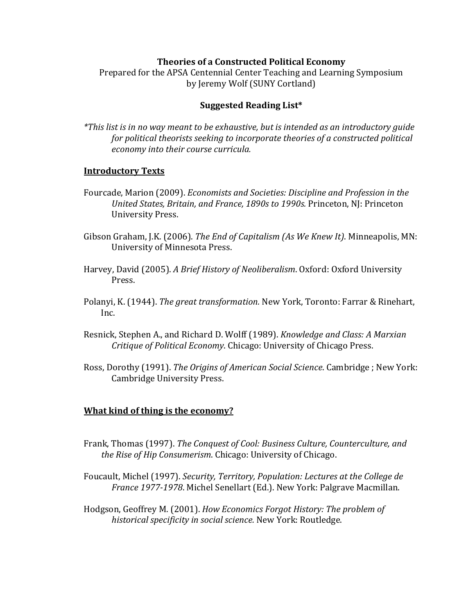## **Theories of a Constructed Political Economy**

Prepared for the APSA Centennial Center Teaching and Learning Symposium by Jeremy Wolf (SUNY Cortland)

# **Suggested Reading List\***

*\*This list is in no way meant to be exhaustive, but is intended as an introductory guide for political theorists seeking to incorporate theories of a constructed political economy into their course curricula.*

## **Introductory Texts**

- Fourcade, Marion (2009). *Economists and Societies: Discipline and Profession in the United States, Britain, and France, 1890s to 1990s. Princeton, NJ: Princeton* University Press.
- Gibson Graham, J.K. (2006). *The End of Capitalism (As We Knew It)*. Minneapolis, MN: University of Minnesota Press.
- Harvey, David (2005). A Brief History of Neoliberalism. Oxford: Oxford University Press.
- Polanyi, K. (1944). *The great transformation.* New York, Toronto: Farrar & Rinehart, Inc.
- Resnick, Stephen A., and Richard D. Wolff (1989). *Knowledge and Class: A Marxian* **Critique of Political Economy. Chicago: University of Chicago Press.**
- Ross, Dorothy (1991). *The Origins of American Social Science*. Cambridge ; New York: Cambridge University Press.

## **What kind of thing is the economy?**

- Frank, Thomas (1997). *The Conquest of Cool: Business Culture, Counterculture, and the Rise of Hip Consumerism.* Chicago: University of Chicago.
- Foucault, Michel (1997). *Security, Territory, Population: Lectures at the College de France 1977-1978*. Michel Senellart (Ed.). New York: Palgrave Macmillan.
- Hodgson, Geoffrey M. (2001). *How Economics Forgot History: The problem of* historical specificity in social science. New York: Routledge.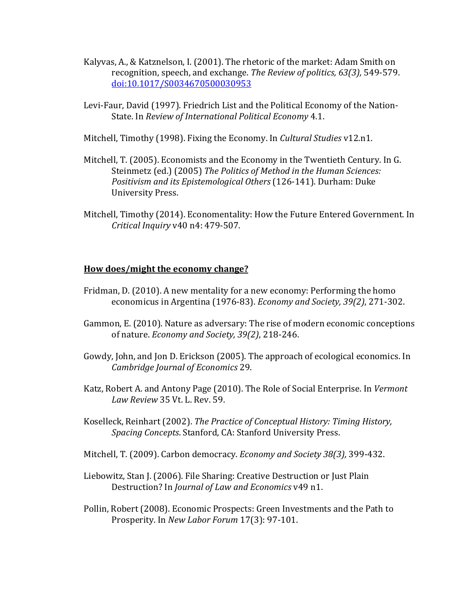- Kalyvas, A., & Katznelson, I. (2001). The rhetoric of the market: Adam Smith on recognition, speech, and exchange. The Review of politics, 63(3), 549-579. doi:10.1017/S0034670500030953
- Levi-Faur, David (1997). Friedrich List and the Political Economy of the Nation-State. In *Review of International Political Economy* 4.1.
- Mitchell, Timothy (1998). Fixing the Economy. In *Cultural Studies* v12.n1.
- Mitchell, T. (2005). Economists and the Economy in the Twentieth Century. In G. Steinmetz (ed.) (2005) The Politics of Method in the Human Sciences: Positivism and its *Epistemological Others* (126-141). Durham: Duke University Press.
- Mitchell, Timothy (2014). Economentality: How the Future Entered Government. In *Critical Inquiry* v40 n4: 479-507.

## **How does/might the economy change?**

- Fridman, D. (2010). A new mentality for a new economy: Performing the homo economicus in Argentina (1976-83). *Economy and Society, 39(2)*, 271-302.
- Gammon, E. (2010). Nature as adversary: The rise of modern economic conceptions of nature. *Economy and Society*, 39(2), 218-246.
- Gowdy, John, and Jon D. Erickson (2005). The approach of ecological economics. In *Cambridge Journal of Economics* 29.
- Katz, Robert A. and Antony Page (2010). The Role of Social Enterprise. In *Vermont Law Review* 35 Vt. L. Rev. 59.
- Koselleck, Reinhart (2002). *The Practice of Conceptual History: Timing History, Spacing Concepts.* Stanford, CA: Stanford University Press.
- Mitchell, T. (2009). Carbon democracy. *Economy and Society 38(3)*, 399-432.
- Liebowitz, Stan J. (2006). File Sharing: Creative Destruction or Just Plain Destruction? In *Journal of Law and Economics* v49 n1.
- Pollin, Robert (2008). Economic Prospects: Green Investments and the Path to Prosperity. In *New Labor Forum* 17(3): 97-101.